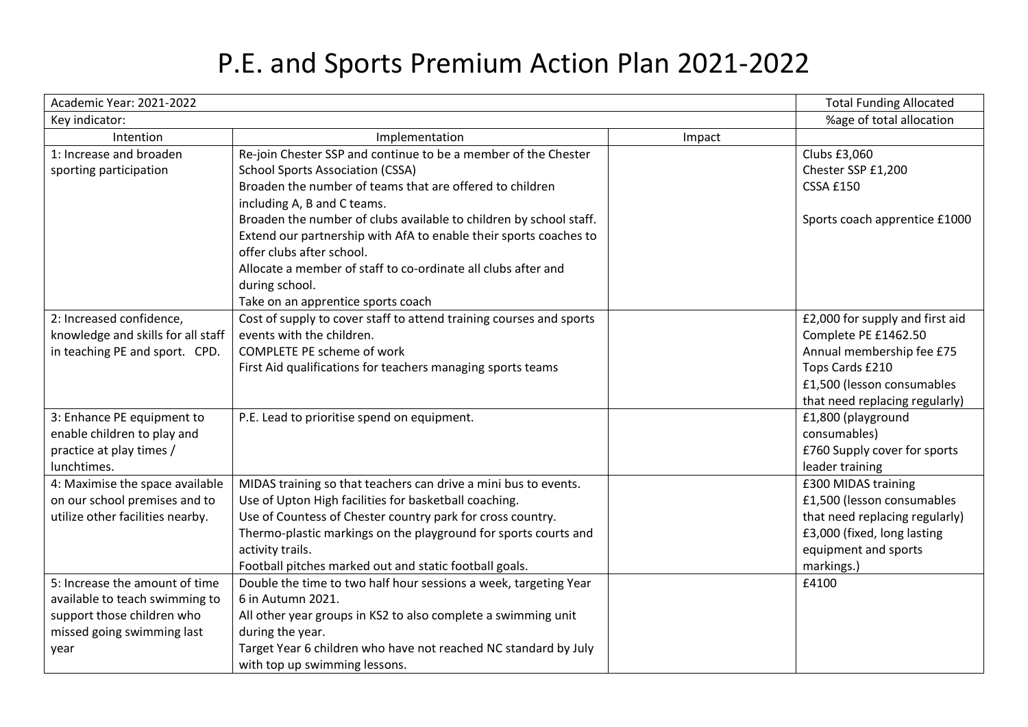## P.E. and Sports Premium Action Plan 2021-2022

| Academic Year: 2021-2022           |                                                                     |        | <b>Total Funding Allocated</b>  |
|------------------------------------|---------------------------------------------------------------------|--------|---------------------------------|
| Key indicator:                     |                                                                     |        | %age of total allocation        |
| Intention                          | Implementation                                                      | Impact |                                 |
| 1: Increase and broaden            | Re-join Chester SSP and continue to be a member of the Chester      |        | Clubs £3,060                    |
| sporting participation             | <b>School Sports Association (CSSA)</b>                             |        | Chester SSP £1,200              |
|                                    | Broaden the number of teams that are offered to children            |        | <b>CSSA £150</b>                |
|                                    | including A, B and C teams.                                         |        |                                 |
|                                    | Broaden the number of clubs available to children by school staff.  |        | Sports coach apprentice £1000   |
|                                    | Extend our partnership with AfA to enable their sports coaches to   |        |                                 |
|                                    | offer clubs after school.                                           |        |                                 |
|                                    | Allocate a member of staff to co-ordinate all clubs after and       |        |                                 |
|                                    | during school.                                                      |        |                                 |
|                                    | Take on an apprentice sports coach                                  |        |                                 |
| 2: Increased confidence,           | Cost of supply to cover staff to attend training courses and sports |        | £2,000 for supply and first aid |
| knowledge and skills for all staff | events with the children.                                           |        | Complete PE £1462.50            |
| in teaching PE and sport. CPD.     | <b>COMPLETE PE scheme of work</b>                                   |        | Annual membership fee £75       |
|                                    | First Aid qualifications for teachers managing sports teams         |        | Tops Cards £210                 |
|                                    |                                                                     |        | £1,500 (lesson consumables      |
|                                    |                                                                     |        | that need replacing regularly)  |
| 3: Enhance PE equipment to         | P.E. Lead to prioritise spend on equipment.                         |        | £1,800 (playground              |
| enable children to play and        |                                                                     |        | consumables)                    |
| practice at play times /           |                                                                     |        | £760 Supply cover for sports    |
| lunchtimes.                        |                                                                     |        | leader training                 |
| 4: Maximise the space available    | MIDAS training so that teachers can drive a mini bus to events.     |        | £300 MIDAS training             |
| on our school premises and to      | Use of Upton High facilities for basketball coaching.               |        | £1,500 (lesson consumables      |
| utilize other facilities nearby.   | Use of Countess of Chester country park for cross country.          |        | that need replacing regularly)  |
|                                    | Thermo-plastic markings on the playground for sports courts and     |        | £3,000 (fixed, long lasting     |
|                                    | activity trails.                                                    |        | equipment and sports            |
|                                    | Football pitches marked out and static football goals.              |        | markings.)                      |
| 5: Increase the amount of time     | Double the time to two half hour sessions a week, targeting Year    |        | £4100                           |
| available to teach swimming to     | 6 in Autumn 2021.                                                   |        |                                 |
| support those children who         | All other year groups in KS2 to also complete a swimming unit       |        |                                 |
| missed going swimming last         | during the year.                                                    |        |                                 |
| year                               | Target Year 6 children who have not reached NC standard by July     |        |                                 |
|                                    | with top up swimming lessons.                                       |        |                                 |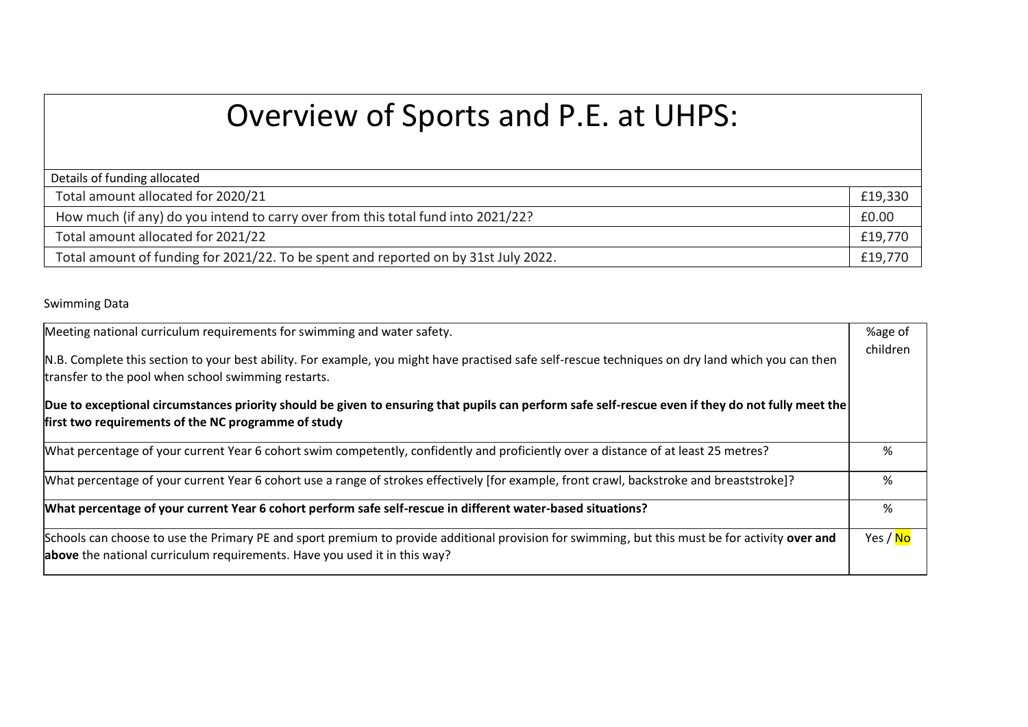## Overview of Sports and P.E. at UHPS:

| Details of funding allocated                                                        |         |  |  |  |
|-------------------------------------------------------------------------------------|---------|--|--|--|
| Total amount allocated for 2020/21                                                  | £19,330 |  |  |  |
| How much (if any) do you intend to carry over from this total fund into 2021/22?    | £0.00   |  |  |  |
| Total amount allocated for 2021/22                                                  | £19,770 |  |  |  |
| Total amount of funding for 2021/22. To be spent and reported on by 31st July 2022. |         |  |  |  |

## Swimming Data

| Meeting national curriculum requirements for swimming and water safety.                                                                                                                                                      | %age of               |  |  |  |
|------------------------------------------------------------------------------------------------------------------------------------------------------------------------------------------------------------------------------|-----------------------|--|--|--|
| N.B. Complete this section to your best ability. For example, you might have practised safe self-rescue techniques on dry land which you can then<br>transfer to the pool when school swimming restarts.                     |                       |  |  |  |
| Due to exceptional circumstances priority should be given to ensuring that pupils can perform safe self-rescue even if they do not fully meet the<br>first two requirements of the NC programme of study                     |                       |  |  |  |
| What percentage of your current Year 6 cohort swim competently, confidently and proficiently over a distance of at least 25 metres?                                                                                          | %                     |  |  |  |
| [What percentage of your current Year 6 cohort use a range of strokes effectively [for example, front crawl, backstroke and breaststroke]?                                                                                   | %                     |  |  |  |
| What percentage of your current Year 6 cohort perform safe self-rescue in different water-based situations?                                                                                                                  | %                     |  |  |  |
| Schools can choose to use the Primary PE and sport premium to provide additional provision for swimming, but this must be for activity over and<br>above the national curriculum requirements. Have you used it in this way? | Yes / <mark>No</mark> |  |  |  |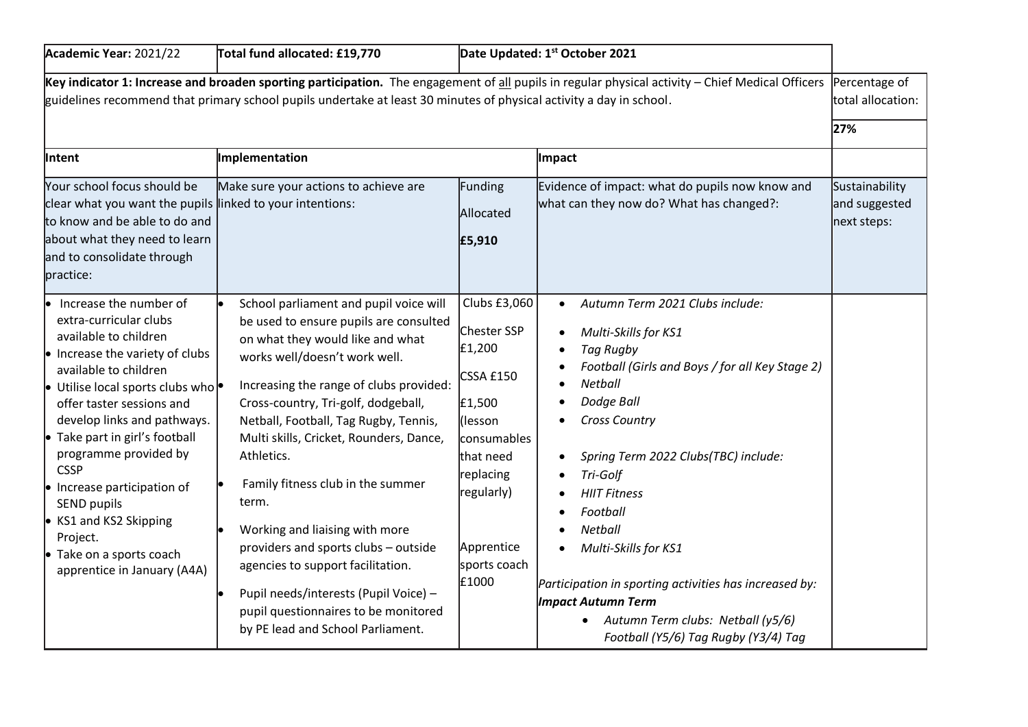| Academic Year: 2021/22                                                                                                                                                                                                                                                                                                                                                                                                                                                                   | Total fund allocated: £19,770                                                                                                                                                                                                                                                                                                                                                                                                                                                                                                                                                                                                |                                                                                                                                                                        | Date Updated: 1 <sup>st</sup> October 2021                                                                                                                                                                                                                                                                                                                                                                                                                             |                                                |
|------------------------------------------------------------------------------------------------------------------------------------------------------------------------------------------------------------------------------------------------------------------------------------------------------------------------------------------------------------------------------------------------------------------------------------------------------------------------------------------|------------------------------------------------------------------------------------------------------------------------------------------------------------------------------------------------------------------------------------------------------------------------------------------------------------------------------------------------------------------------------------------------------------------------------------------------------------------------------------------------------------------------------------------------------------------------------------------------------------------------------|------------------------------------------------------------------------------------------------------------------------------------------------------------------------|------------------------------------------------------------------------------------------------------------------------------------------------------------------------------------------------------------------------------------------------------------------------------------------------------------------------------------------------------------------------------------------------------------------------------------------------------------------------|------------------------------------------------|
| Key indicator 1: Increase and broaden sporting participation. The engagement of all pupils in regular physical activity – Chief Medical Officers<br>Percentage of<br>guidelines recommend that primary school pupils undertake at least 30 minutes of physical activity a day in school.<br>total allocation:<br>27%                                                                                                                                                                     |                                                                                                                                                                                                                                                                                                                                                                                                                                                                                                                                                                                                                              |                                                                                                                                                                        |                                                                                                                                                                                                                                                                                                                                                                                                                                                                        |                                                |
| Intent<br>Your school focus should be<br>clear what you want the pupils linked to your intentions:<br>to know and be able to do and<br>about what they need to learn<br>and to consolidate through<br>practice:                                                                                                                                                                                                                                                                          | Implementation<br>Make sure your actions to achieve are                                                                                                                                                                                                                                                                                                                                                                                                                                                                                                                                                                      | Funding<br>Allocated<br>£5,910                                                                                                                                         | Impact<br>Evidence of impact: what do pupils now know and<br>what can they now do? What has changed?:                                                                                                                                                                                                                                                                                                                                                                  | Sustainability<br>and suggested<br>next steps: |
| Increase the number of<br>extra-curricular clubs<br>available to children<br>$\bullet$ Increase the variety of clubs<br>available to children<br>$\bullet$ Utilise local sports clubs who $\bullet$<br>offer taster sessions and<br>develop links and pathways.<br>• Take part in girl's football<br>programme provided by<br><b>CSSP</b><br>• Increase participation of<br>SEND pupils<br>• KS1 and KS2 Skipping<br>Project.<br>• Take on a sports coach<br>apprentice in January (A4A) | School parliament and pupil voice will<br>be used to ensure pupils are consulted<br>on what they would like and what<br>works well/doesn't work well.<br>Increasing the range of clubs provided:<br>Cross-country, Tri-golf, dodgeball,<br>Netball, Football, Tag Rugby, Tennis,<br>Multi skills, Cricket, Rounders, Dance,<br>Athletics.<br>Family fitness club in the summer<br>term.<br>Working and liaising with more<br>providers and sports clubs - outside<br>agencies to support facilitation.<br>Pupil needs/interests (Pupil Voice) -<br>pupil questionnaires to be monitored<br>by PE lead and School Parliament. | Clubs £3,060<br>Chester SSP<br>£1,200<br>CSSA £150<br>£1,500<br>(lesson<br>consumables<br>lthat need<br>replacing<br>regularly)<br>Apprentice<br>sports coach<br>£1000 | Autumn Term 2021 Clubs include:<br>Multi-Skills for KS1<br>Tag Rugby<br>Football (Girls and Boys / for all Key Stage 2)<br>Netball<br>Dodge Ball<br><b>Cross Country</b><br>Spring Term 2022 Clubs(TBC) include:<br>Tri-Golf<br><b>HIIT Fitness</b><br>Football<br>Netball<br>Multi-Skills for KS1<br>Participation in sporting activities has increased by:<br><b>Impact Autumn Term</b><br>Autumn Term clubs: Netball (y5/6)<br>Football (Y5/6) Tag Rugby (Y3/4) Tag |                                                |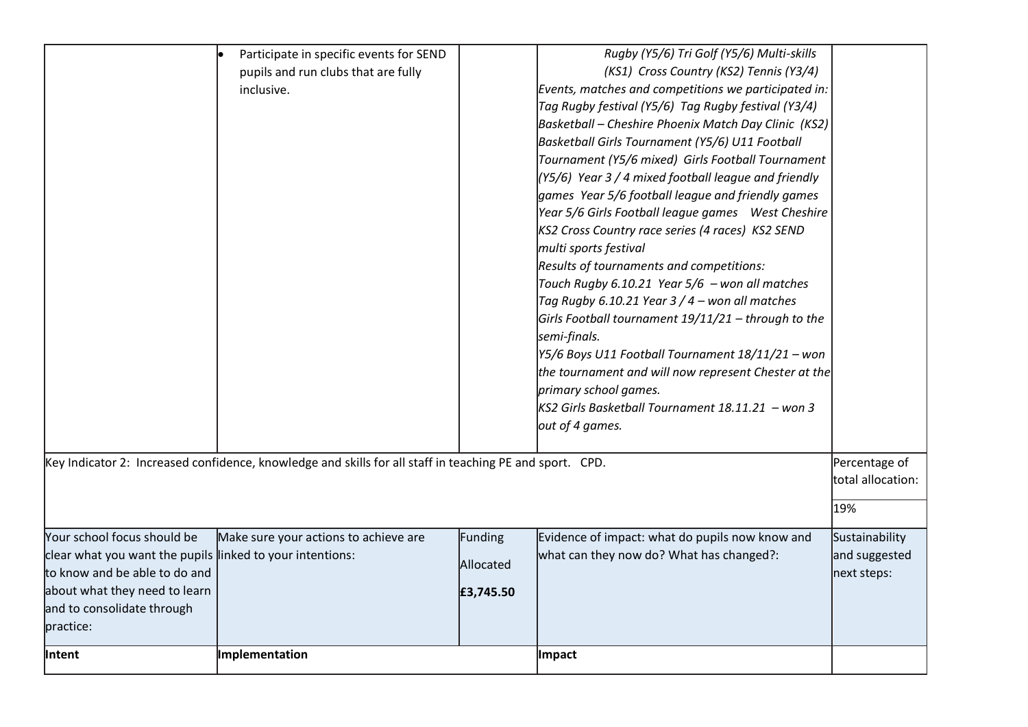|                                                                                                                                                                                                                                                                                             | Participate in specific events for SEND<br>pupils and run clubs that are fully<br>inclusive. |                        | Rugby (Y5/6) Tri Golf (Y5/6) Multi-skills<br>(KS1) Cross Country (KS2) Tennis (Y3/4)<br>Events, matches and competitions we participated in:<br>Tag Rugby festival (Y5/6) Tag Rugby festival (Y3/4)<br>Basketball - Cheshire Phoenix Match Day Clinic (KS2)<br>Basketball Girls Tournament (Y5/6) U11 Football<br>Tournament (Y5/6 mixed) Girls Football Tournament<br>$(Y5/6)$ Year 3 / 4 mixed football league and friendly<br>games Year 5/6 football league and friendly games<br>Year 5/6 Girls Football league games  West Cheshire<br>KS2 Cross Country race series (4 races) KS2 SEND<br>multi sports festival<br>Results of tournaments and competitions:<br>Touch Rugby 6.10.21 Year 5/6 - won all matches<br>Tag Rugby 6.10.21 Year $3/4$ – won all matches<br>Girls Football tournament 19/11/21 - through to the<br>semi-finals.<br>Y5/6 Boys U11 Football Tournament 18/11/21 - won<br>the tournament and will now represent Chester at the<br>primary school games.<br>KS2 Girls Basketball Tournament 18.11.21 - won 3<br>out of 4 games. |                                                |
|---------------------------------------------------------------------------------------------------------------------------------------------------------------------------------------------------------------------------------------------------------------------------------------------|----------------------------------------------------------------------------------------------|------------------------|-----------------------------------------------------------------------------------------------------------------------------------------------------------------------------------------------------------------------------------------------------------------------------------------------------------------------------------------------------------------------------------------------------------------------------------------------------------------------------------------------------------------------------------------------------------------------------------------------------------------------------------------------------------------------------------------------------------------------------------------------------------------------------------------------------------------------------------------------------------------------------------------------------------------------------------------------------------------------------------------------------------------------------------------------------------|------------------------------------------------|
| Key Indicator 2: Increased confidence, knowledge and skills for all staff in teaching PE and sport. CPD.<br>Percentage of<br>total allocation:<br>19%<br>Your school focus should be<br>Make sure your actions to achieve are<br>Evidence of impact: what do pupils now know and<br>Funding |                                                                                              |                        |                                                                                                                                                                                                                                                                                                                                                                                                                                                                                                                                                                                                                                                                                                                                                                                                                                                                                                                                                                                                                                                           |                                                |
| clear what you want the pupils linked to your intentions:<br>to know and be able to do and<br>about what they need to learn<br>and to consolidate through<br>practice:                                                                                                                      |                                                                                              | Allocated<br>£3,745.50 | what can they now do? What has changed?:                                                                                                                                                                                                                                                                                                                                                                                                                                                                                                                                                                                                                                                                                                                                                                                                                                                                                                                                                                                                                  | Sustainability<br>and suggested<br>next steps: |
| <b>Intent</b>                                                                                                                                                                                                                                                                               | Implementation                                                                               |                        | <b>Impact</b>                                                                                                                                                                                                                                                                                                                                                                                                                                                                                                                                                                                                                                                                                                                                                                                                                                                                                                                                                                                                                                             |                                                |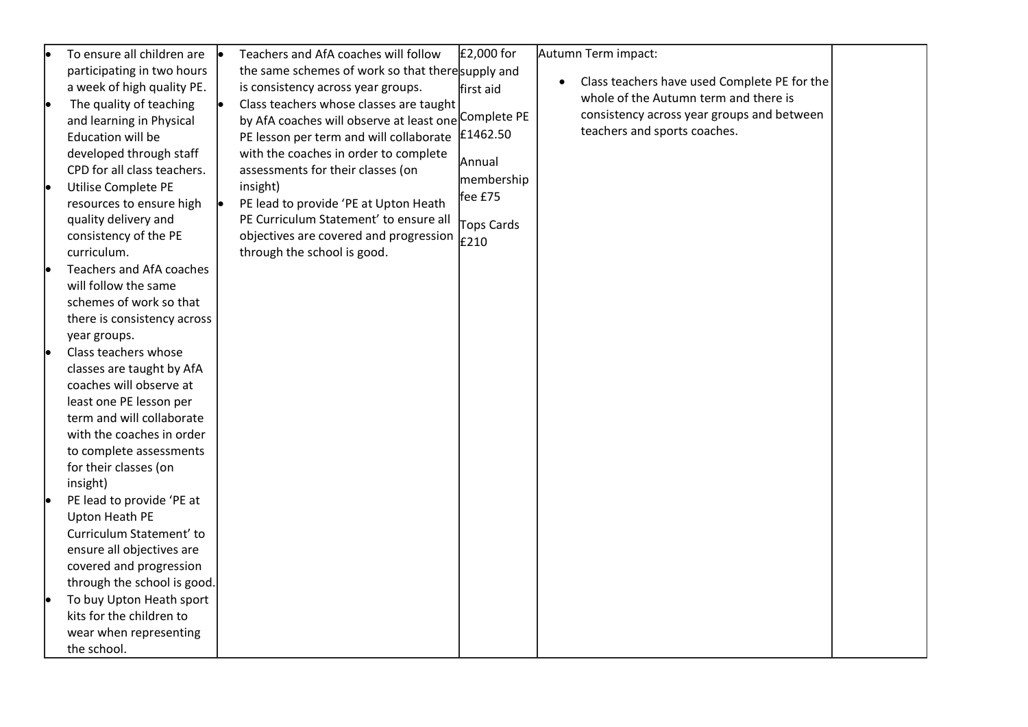| le | To ensure all children are  | Teachers and AfA coaches will follow                 | £2,000 for | Autumn Term impact:                          |  |
|----|-----------------------------|------------------------------------------------------|------------|----------------------------------------------|--|
|    | participating in two hours  | the same schemes of work so that there supply and    |            |                                              |  |
|    | a week of high quality PE.  | is consistency across year groups.                   | first aid  | Class teachers have used Complete PE for the |  |
| le | The quality of teaching     | Class teachers whose classes are taught              |            | whole of the Autumn term and there is        |  |
|    | and learning in Physical    | by AfA coaches will observe at least one Complete PE |            | consistency across year groups and between   |  |
|    | Education will be           | PE lesson per term and will collaborate              | £1462.50   | teachers and sports coaches.                 |  |
|    | developed through staff     | with the coaches in order to complete                |            |                                              |  |
|    | CPD for all class teachers. | assessments for their classes (on                    | Annual     |                                              |  |
| le | Utilise Complete PE         | insight)                                             | membership |                                              |  |
|    | resources to ensure high    | PE lead to provide 'PE at Upton Heath                | fee £75    |                                              |  |
|    | quality delivery and        | PE Curriculum Statement' to ensure all               | Tops Cards |                                              |  |
|    | consistency of the PE       | objectives are covered and progression               | £210       |                                              |  |
|    | curriculum.                 | through the school is good.                          |            |                                              |  |
|    | Teachers and AfA coaches    |                                                      |            |                                              |  |
|    | will follow the same        |                                                      |            |                                              |  |
|    | schemes of work so that     |                                                      |            |                                              |  |
|    | there is consistency across |                                                      |            |                                              |  |
|    | year groups.                |                                                      |            |                                              |  |
| le | Class teachers whose        |                                                      |            |                                              |  |
|    | classes are taught by AfA   |                                                      |            |                                              |  |
|    | coaches will observe at     |                                                      |            |                                              |  |
|    | least one PE lesson per     |                                                      |            |                                              |  |
|    | term and will collaborate   |                                                      |            |                                              |  |
|    | with the coaches in order   |                                                      |            |                                              |  |
|    | to complete assessments     |                                                      |            |                                              |  |
|    | for their classes (on       |                                                      |            |                                              |  |
|    | insight)                    |                                                      |            |                                              |  |
|    | PE lead to provide 'PE at   |                                                      |            |                                              |  |
|    | Upton Heath PE              |                                                      |            |                                              |  |
|    | Curriculum Statement' to    |                                                      |            |                                              |  |
|    | ensure all objectives are   |                                                      |            |                                              |  |
|    | covered and progression     |                                                      |            |                                              |  |
|    | through the school is good. |                                                      |            |                                              |  |
|    | To buy Upton Heath sport    |                                                      |            |                                              |  |
|    | kits for the children to    |                                                      |            |                                              |  |
|    | wear when representing      |                                                      |            |                                              |  |
|    | the school.                 |                                                      |            |                                              |  |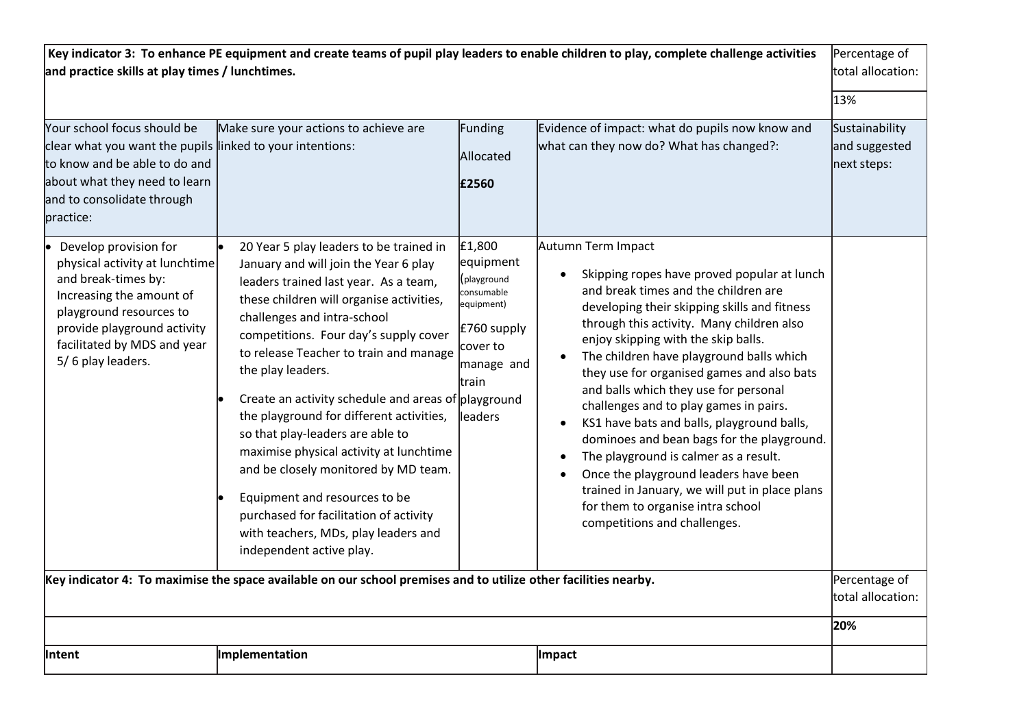| Key indicator 3: To enhance PE equipment and create teams of pupil play leaders to enable children to play, complete challenge activities<br>and practice skills at play times / lunchtimes.                                                                                                                                                                                  |                                                                                                                                                                                                                                                                                                                                                                                                                                      |                                                                                                                |                                                                                                                                                                                                                                                                                                                                                                                                                                                                                                                       | Percentage of<br>total allocation:                    |
|-------------------------------------------------------------------------------------------------------------------------------------------------------------------------------------------------------------------------------------------------------------------------------------------------------------------------------------------------------------------------------|--------------------------------------------------------------------------------------------------------------------------------------------------------------------------------------------------------------------------------------------------------------------------------------------------------------------------------------------------------------------------------------------------------------------------------------|----------------------------------------------------------------------------------------------------------------|-----------------------------------------------------------------------------------------------------------------------------------------------------------------------------------------------------------------------------------------------------------------------------------------------------------------------------------------------------------------------------------------------------------------------------------------------------------------------------------------------------------------------|-------------------------------------------------------|
| Your school focus should be<br>clear what you want the pupils linked to your intentions:<br>to know and be able to do and<br>about what they need to learn<br>and to consolidate through<br>practice:<br>Develop provision for<br>physical activity at lunchtime<br>and break-times by:<br>Increasing the amount of<br>playground resources to<br>provide playground activity | Make sure your actions to achieve are<br>20 Year 5 play leaders to be trained in<br>January and will join the Year 6 play<br>leaders trained last year. As a team,<br>these children will organise activities,<br>challenges and intra-school<br>competitions. Four day's supply cover                                                                                                                                               | Funding<br>Allocated<br>£2560<br>£1,800<br>equipment<br>(playground<br>consumable<br>equipment)<br>£760 supply | Evidence of impact: what do pupils now know and<br>what can they now do? What has changed?:<br>Autumn Term Impact<br>Skipping ropes have proved popular at lunch<br>and break times and the children are<br>developing their skipping skills and fitness<br>through this activity. Many children also                                                                                                                                                                                                                 | 13%<br>Sustainability<br>and suggested<br>next steps: |
| facilitated by MDS and year<br>5/6 play leaders.                                                                                                                                                                                                                                                                                                                              | to release Teacher to train and manage<br>the play leaders.<br>Create an activity schedule and areas of playground<br>the playground for different activities,<br>so that play-leaders are able to<br>maximise physical activity at lunchtime<br>and be closely monitored by MD team.<br>Equipment and resources to be<br>purchased for facilitation of activity<br>with teachers, MDs, play leaders and<br>independent active play. | cover to<br>manage and<br>train<br>leaders                                                                     | enjoy skipping with the skip balls.<br>The children have playground balls which<br>they use for organised games and also bats<br>and balls which they use for personal<br>challenges and to play games in pairs.<br>KS1 have bats and balls, playground balls,<br>dominoes and bean bags for the playground.<br>The playground is calmer as a result.<br>Once the playground leaders have been<br>trained in January, we will put in place plans<br>for them to organise intra school<br>competitions and challenges. |                                                       |
|                                                                                                                                                                                                                                                                                                                                                                               | Key indicator 4: To maximise the space available on our school premises and to utilize other facilities nearby.                                                                                                                                                                                                                                                                                                                      |                                                                                                                |                                                                                                                                                                                                                                                                                                                                                                                                                                                                                                                       | Percentage of<br>total allocation:<br>20%             |
|                                                                                                                                                                                                                                                                                                                                                                               |                                                                                                                                                                                                                                                                                                                                                                                                                                      |                                                                                                                |                                                                                                                                                                                                                                                                                                                                                                                                                                                                                                                       |                                                       |
| lintent                                                                                                                                                                                                                                                                                                                                                                       | Implementation                                                                                                                                                                                                                                                                                                                                                                                                                       |                                                                                                                | Impact                                                                                                                                                                                                                                                                                                                                                                                                                                                                                                                |                                                       |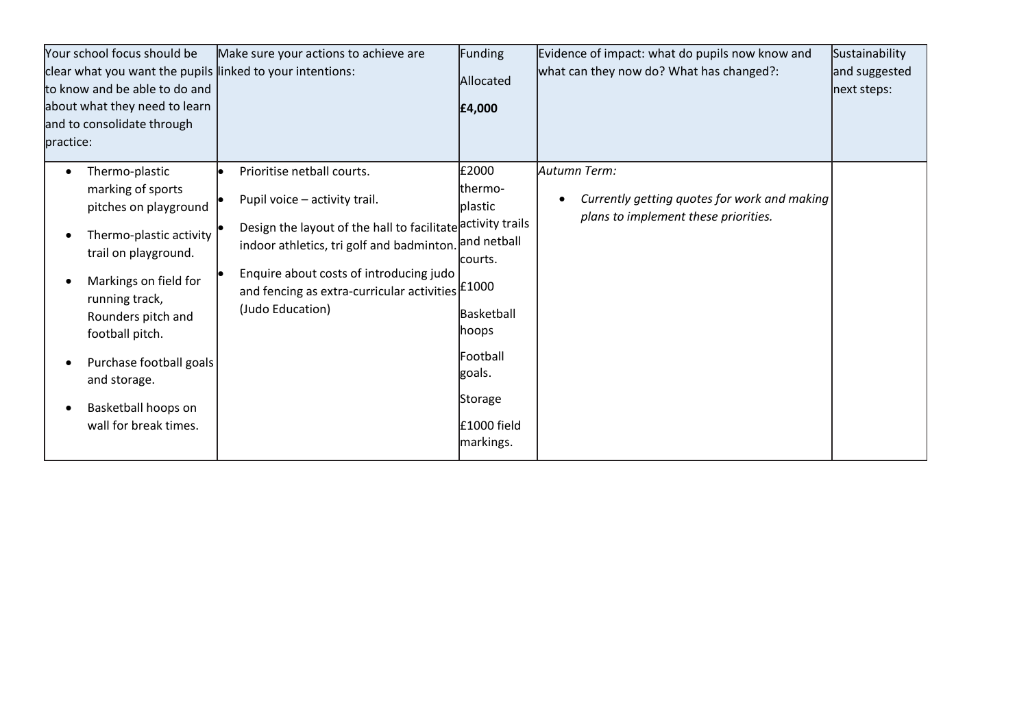| Your school focus should be<br>clear what you want the pupils linked to your intentions:<br>to know and be able to do and<br>about what they need to learn<br>and to consolidate through<br>practice:                                                                                          | Make sure your actions to achieve are                                                                                                                                                                                                                                                         | Funding<br>Allocated<br>£4,000                                                                                                              | Evidence of impact: what do pupils now know and<br>what can they now do? What has changed?:          | Sustainability<br>and suggested<br>next steps: |
|------------------------------------------------------------------------------------------------------------------------------------------------------------------------------------------------------------------------------------------------------------------------------------------------|-----------------------------------------------------------------------------------------------------------------------------------------------------------------------------------------------------------------------------------------------------------------------------------------------|---------------------------------------------------------------------------------------------------------------------------------------------|------------------------------------------------------------------------------------------------------|------------------------------------------------|
| Thermo-plastic<br>marking of sports<br>pitches on playground<br>Thermo-plastic activity<br>trail on playground.<br>Markings on field for<br>running track,<br>Rounders pitch and<br>football pitch.<br>Purchase football goals<br>and storage.<br>Basketball hoops on<br>wall for break times. | Prioritise netball courts.<br>Pupil voice - activity trail.<br>Design the layout of the hall to facilitate activity trails<br>indoor athletics, tri golf and badminton.<br>Enquire about costs of introducing judo<br>and fencing as extra-curricular activities $ £1000$<br>(Judo Education) | £2000<br>thermo-<br>plastic<br>and netball<br>lcourts.<br>Basketball<br> hoops<br>Football<br>goals.<br>Storage<br>£1000 field<br>markings. | Autumn Term:<br>Currently getting quotes for work and making<br>plans to implement these priorities. |                                                |